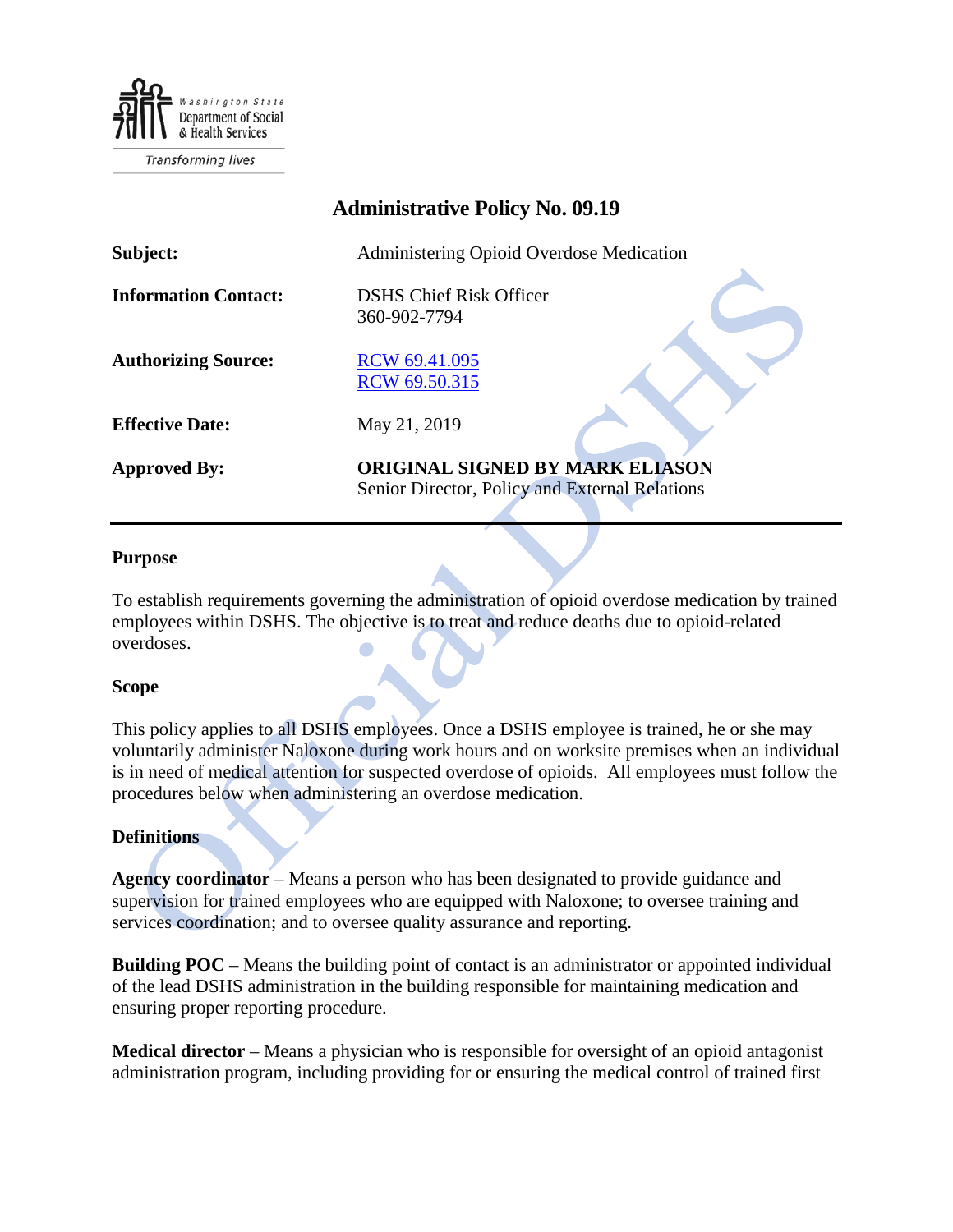

| <b>Administrative Policy No. 09.19</b> |                                                                                          |
|----------------------------------------|------------------------------------------------------------------------------------------|
| Subject:                               | Administering Opioid Overdose Medication                                                 |
| <b>Information Contact:</b>            | <b>DSHS Chief Risk Officer</b><br>360-902-7794                                           |
| <b>Authorizing Source:</b>             | RCW 69.41.095<br>RCW 69.50.315                                                           |
| <b>Effective Date:</b>                 | May 21, 2019                                                                             |
| <b>Approved By:</b>                    | <b>ORIGINAL SIGNED BY MARK ELIASON</b><br>Senior Director, Policy and External Relations |

# **Purpose**

To establish requirements governing the administration of opioid overdose medication by trained employees within DSHS. The objective is to treat and reduce deaths due to opioid-related overdoses.

### **Scope**

This policy applies to all DSHS employees. Once a DSHS employee is trained, he or she may voluntarily administer Naloxone during work hours and on worksite premises when an individual is in need of medical attention for suspected overdose of opioids. All employees must follow the procedures below when administering an overdose medication.

### **Definitions**

**Agency coordinator** – Means a person who has been designated to provide guidance and supervision for trained employees who are equipped with Naloxone; to oversee training and services coordination; and to oversee quality assurance and reporting.

**Building POC** – Means the building point of contact is an administrator or appointed individual of the lead DSHS administration in the building responsible for maintaining medication and ensuring proper reporting procedure.

**Medical director** – Means a physician who is responsible for oversight of an opioid antagonist administration program, including providing for or ensuring the medical control of trained first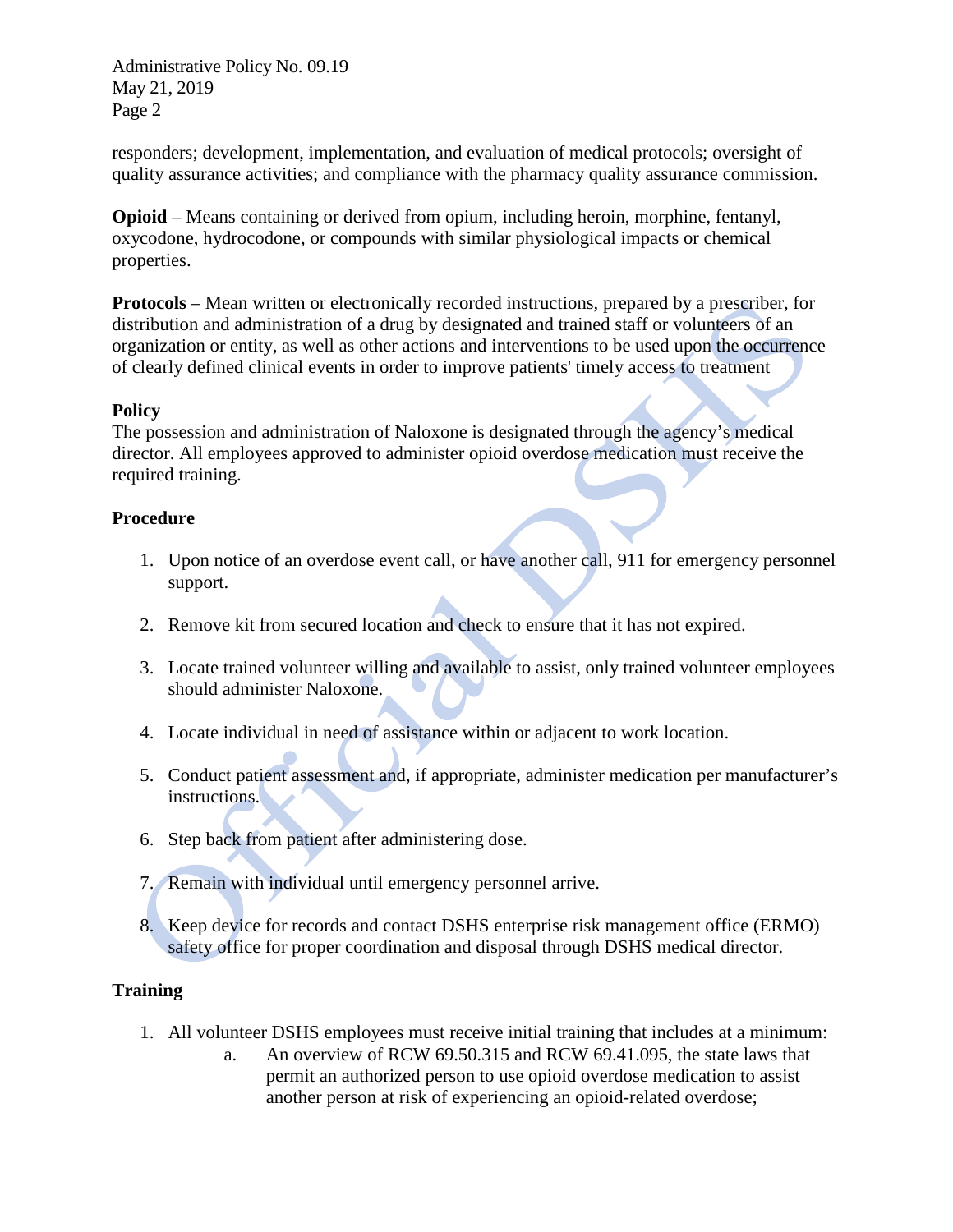Administrative Policy No. 09.19 May 21, 2019 Page 2

responders; development, implementation, and evaluation of medical protocols; oversight of quality assurance activities; and compliance with the pharmacy quality assurance commission.

**Opioid** – Means containing or derived from opium, including heroin, morphine, fentanyl, oxycodone, hydrocodone, or compounds with similar physiological impacts or chemical properties.

**Protocols** – Mean written or electronically recorded instructions, prepared by a prescriber, for distribution and administration of a drug by designated and trained staff or volunteers of an organization or entity, as well as other actions and interventions to be used upon the occurrence of clearly defined clinical events in order to improve patients' timely access to treatment

# **Policy**

The possession and administration of Naloxone is designated through the agency's medical director. All employees approved to administer opioid overdose medication must receive the required training.

# **Procedure**

- 1. Upon notice of an overdose event call, or have another call, 911 for emergency personnel support.
- 2. Remove kit from secured location and check to ensure that it has not expired.
- 3. Locate trained volunteer willing and available to assist, only trained volunteer employees should administer Naloxone.
- 4. Locate individual in need of assistance within or adjacent to work location.
- 5. Conduct patient assessment and, if appropriate, administer medication per manufacturer's instructions.
- 6. Step back from patient after administering dose.
- 7. Remain with individual until emergency personnel arrive.
- 8. Keep device for records and contact DSHS enterprise risk management office (ERMO) safety office for proper coordination and disposal through DSHS medical director.

# **Training**

- 1. All volunteer DSHS employees must receive initial training that includes at a minimum:
	- a. An overview of RCW 69.50.315 and RCW 69.41.095, the state laws that permit an authorized person to use opioid overdose medication to assist another person at risk of experiencing an opioid-related overdose;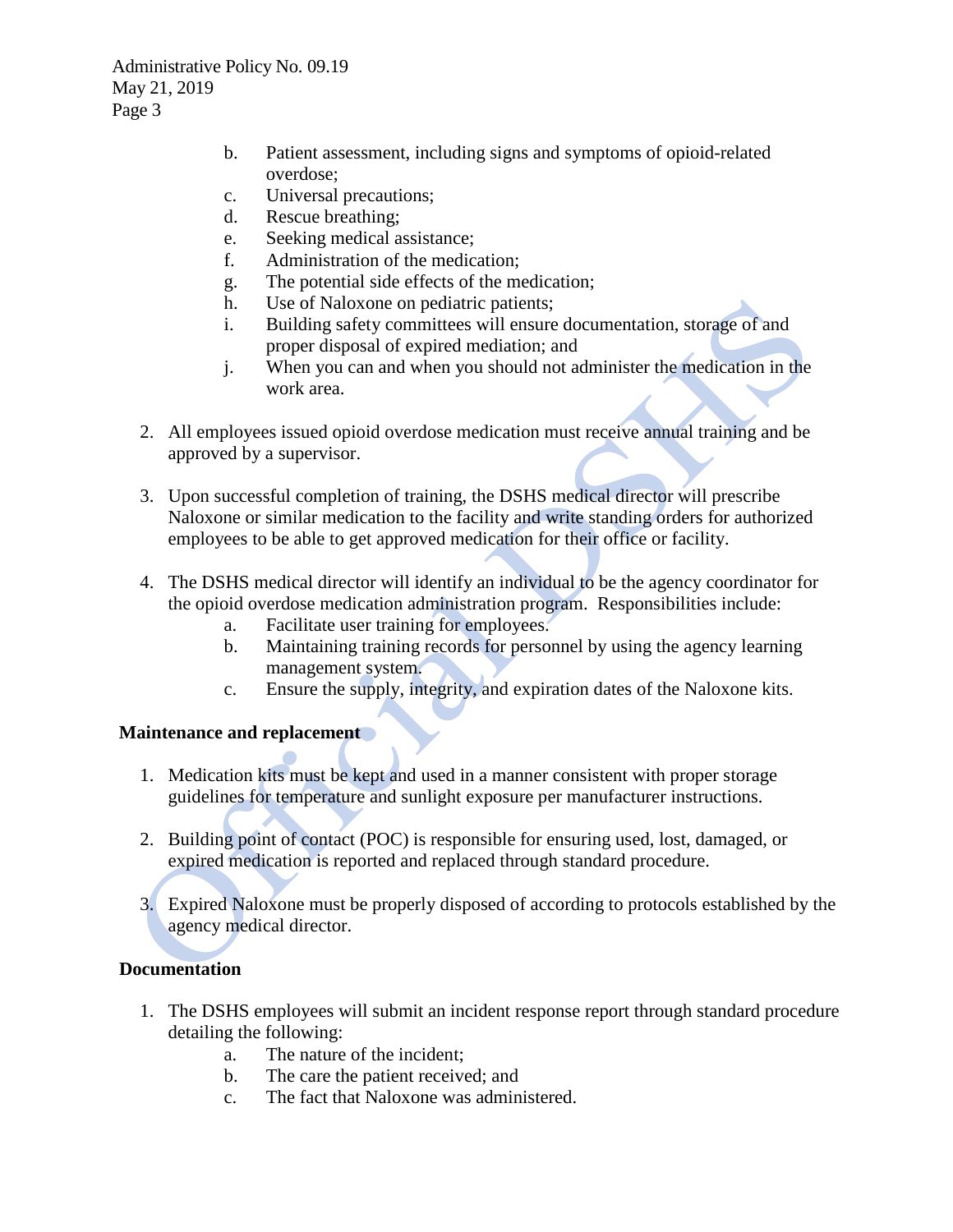Administrative Policy No. 09.19 May 21, 2019 Page 3

- b. Patient assessment, including signs and symptoms of opioid-related overdose;
- c. Universal precautions;
- d. Rescue breathing;
- e. Seeking medical assistance;
- f. Administration of the medication;
- g. The potential side effects of the medication;
- h. Use of Naloxone on pediatric patients;
- i. Building safety committees will ensure documentation, storage of and proper disposal of expired mediation; and
- j. When you can and when you should not administer the medication in the work area.
- 2. All employees issued opioid overdose medication must receive annual training and be approved by a supervisor.
- 3. Upon successful completion of training, the DSHS medical director will prescribe Naloxone or similar medication to the facility and write standing orders for authorized employees to be able to get approved medication for their office or facility.
- 4. The DSHS medical director will identify an individual to be the agency coordinator for the opioid overdose medication administration program. Responsibilities include:
	- a. Facilitate user training for employees.
	- b. Maintaining training records for personnel by using the agency learning management system.
	- c. Ensure the supply, integrity, and expiration dates of the Naloxone kits.

# **Maintenance and replacement**

- 1. Medication kits must be kept and used in a manner consistent with proper storage guidelines for temperature and sunlight exposure per manufacturer instructions.
- 2. Building point of contact (POC) is responsible for ensuring used, lost, damaged, or expired medication is reported and replaced through standard procedure.
- 3. Expired Naloxone must be properly disposed of according to protocols established by the agency medical director.

# **Documentation**

- 1. The DSHS employees will submit an incident response report through standard procedure detailing the following:
	- a. The nature of the incident;
	- b. The care the patient received; and
	- c. The fact that Naloxone was administered.